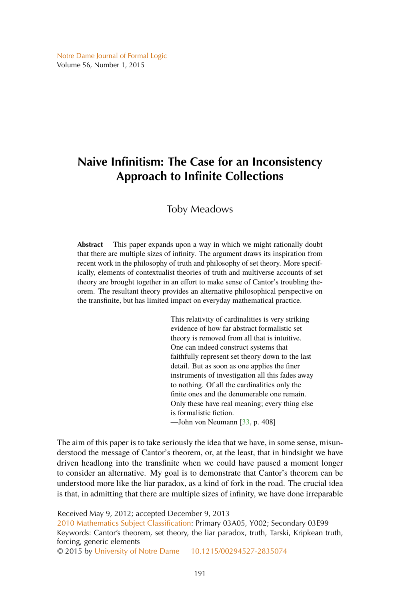<span id="page-0-0"></span>[Notre Dame Journal of Formal Logic](http://www.nd.edu/~ndjfl/) Volume 56, Number 1, 2015

# **Naive Infinitism: The Case for an Inconsistency Approach to Infinite Collections**

# Toby Meadows

**Abstract** This paper expands upon a way in which we might rationally doubt that there are multiple sizes of infinity. The argument draws its inspiration from recent work in the philosophy of truth and philosophy of set theory. More specifically, elements of contextualist theories of truth and multiverse accounts of set theory are brought together in an effort to make sense of Cantor's troubling theorem. The resultant theory provides an alternative philosophical perspective on the transfinite, but has limited impact on everyday mathematical practice.

> This relativity of cardinalities is very striking evidence of how far abstract formalistic set theory is removed from all that is intuitive. One can indeed construct systems that faithfully represent set theory down to the last detail. But as soon as one applies the finer instruments of investigation all this fades away to nothing. Of all the cardinalities only the finite ones and the denumerable one remain. Only these have real meaning; every thing else is formalistic fiction. —John von Neumann [\[33,](#page-20-0) p. 408]

The aim of this paper is to take seriously the idea that we have, in some sense, misunderstood the message of Cantor's theorem, or, at the least, that in hindsight we have driven headlong into the transfinite when we could have paused a moment longer to consider an alternative. My goal is to demonstrate that Cantor's theorem can be understood more like the liar paradox, as a kind of fork in the road. The crucial idea is that, in admitting that there are multiple sizes of infinity, we have done irreparable

Received May 9, 2012; accepted December 9, 2013 [2010 Mathematics Subject Classification:](http://www.ams.org/mathscinet/msc/msc2010.html) Primary 03A05, Y002; Secondary 03E99 Keywords: Cantor's theorem, set theory, the liar paradox, truth, Tarski, Kripkean truth, forcing, generic elements © 2015 by [University of Notre Dame](http://www.nd.edu) [10.1215/00294527-2835074](http://dx.doi.org/10.1215/00294527-2835074)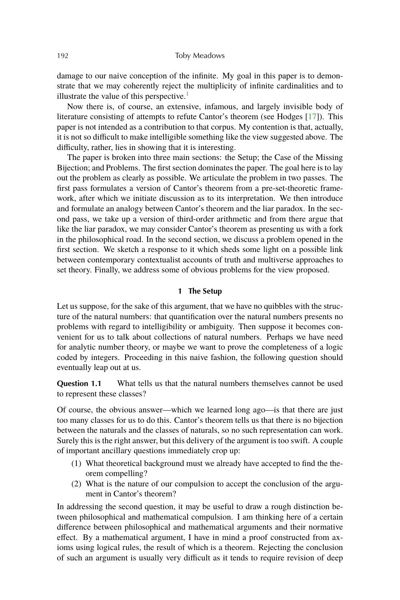<span id="page-1-0"></span>damage to our naive conception of the infinite. My goal in this paper is to demonstrate that we may coherently reject the multiplicity of infinite cardinalities and to illustrate the value of this perspective.<sup>[1](#page-17-0)</sup>

Now there is, of course, an extensive, infamous, and largely invisible body of literature consisting of attempts to refute Cantor's theorem (see Hodges [\[17\]](#page-19-0)). This paper is not intended as a contribution to that corpus. My contention is that, actually, it is not so difficult to make intelligible something like the view suggested above. The difficulty, rather, lies in showing that it is interesting.

The paper is broken into three main sections: the Setup; the Case of the Missing Bijection; and Problems. The first section dominates the paper. The goal here is to lay out the problem as clearly as possible. We articulate the problem in two passes. The first pass formulates a version of Cantor's theorem from a pre-set-theoretic framework, after which we initiate discussion as to its interpretation. We then introduce and formulate an analogy between Cantor's theorem and the liar paradox. In the second pass, we take up a version of third-order arithmetic and from there argue that like the liar paradox, we may consider Cantor's theorem as presenting us with a fork in the philosophical road. In the second section, we discuss a problem opened in the first section. We sketch a response to it which sheds some light on a possible link between contemporary contextualist accounts of truth and multiverse approaches to set theory. Finally, we address some of obvious problems for the view proposed.

# **1 The Setup**

Let us suppose, for the sake of this argument, that we have no quibbles with the structure of the natural numbers: that quantification over the natural numbers presents no problems with regard to intelligibility or ambiguity. Then suppose it becomes convenient for us to talk about collections of natural numbers. Perhaps we have need for analytic number theory, or maybe we want to prove the completeness of a logic coded by integers. Proceeding in this naive fashion, the following question should eventually leap out at us.

**Question 1.1** What tells us that the natural numbers themselves cannot be used to represent these classes?

Of course, the obvious answer—which we learned long ago—is that there are just too many classes for us to do this. Cantor's theorem tells us that there is no bijection between the naturals and the classes of naturals, so no such representation can work. Surely this is the right answer, but this delivery of the argument is too swift. A couple of important ancillary questions immediately crop up:

- (1) What theoretical background must we already have accepted to find the theorem compelling?
- (2) What is the nature of our compulsion to accept the conclusion of the argument in Cantor's theorem?

In addressing the second question, it may be useful to draw a rough distinction between philosophical and mathematical compulsion. I am thinking here of a certain difference between philosophical and mathematical arguments and their normative effect. By a mathematical argument, I have in mind a proof constructed from axioms using logical rules, the result of which is a theorem. Rejecting the conclusion of such an argument is usually very difficult as it tends to require revision of deep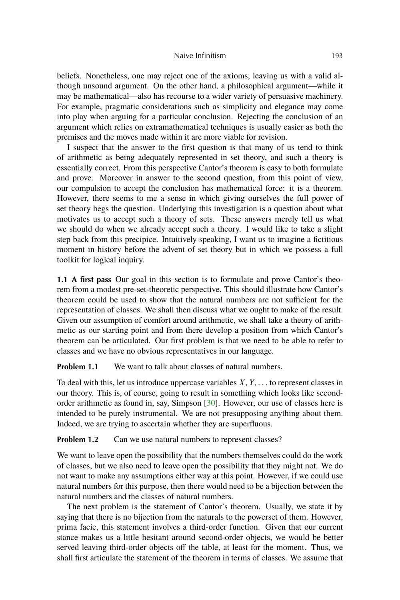<span id="page-2-0"></span>beliefs. Nonetheless, one may reject one of the axioms, leaving us with a valid although unsound argument. On the other hand, a philosophical argument—while it may be mathematical—also has recourse to a wider variety of persuasive machinery. For example, pragmatic considerations such as simplicity and elegance may come into play when arguing for a particular conclusion. Rejecting the conclusion of an argument which relies on extramathematical techniques is usually easier as both the premises and the moves made within it are more viable for revision.

I suspect that the answer to the first question is that many of us tend to think of arithmetic as being adequately represented in set theory, and such a theory is essentially correct. From this perspective Cantor's theorem is easy to both formulate and prove. Moreover in answer to the second question, from this point of view, our compulsion to accept the conclusion has mathematical force: it is a theorem. However, there seems to me a sense in which giving ourselves the full power of set theory begs the question. Underlying this investigation is a question about what motivates us to accept such a theory of sets. These answers merely tell us what we should do when we already accept such a theory. I would like to take a slight step back from this precipice. Intuitively speaking, I want us to imagine a fictitious moment in history before the advent of set theory but in which we possess a full toolkit for logical inquiry.

**1.1 A first pass** Our goal in this section is to formulate and prove Cantor's theorem from a modest pre-set-theoretic perspective. This should illustrate how Cantor's theorem could be used to show that the natural numbers are not sufficient for the representation of classes. We shall then discuss what we ought to make of the result. Given our assumption of comfort around arithmetic, we shall take a theory of arithmetic as our starting point and from there develop a position from which Cantor's theorem can be articulated. Our first problem is that we need to be able to refer to classes and we have no obvious representatives in our language.

**Problem 1.1** We want to talk about classes of natural numbers.

To deal with this, let us introduce uppercase variables  $X, Y, \ldots$  to represent classes in our theory. This is, of course, going to result in something which looks like secondorder arithmetic as found in, say, Simpson [\[30\]](#page-20-0). However, our use of classes here is intended to be purely instrumental. We are not presupposing anything about them. Indeed, we are trying to ascertain whether they are superfluous.

**Problem 1.2** Can we use natural numbers to represent classes?

We want to leave open the possibility that the numbers themselves could do the work of classes, but we also need to leave open the possibility that they might not. We do not want to make any assumptions either way at this point. However, if we could use natural numbers for this purpose, then there would need to be a bijection between the natural numbers and the classes of natural numbers.

The next problem is the statement of Cantor's theorem. Usually, we state it by saying that there is no bijection from the naturals to the powerset of them. However, prima facie, this statement involves a third-order function. Given that our current stance makes us a little hesitant around second-order objects, we would be better served leaving third-order objects off the table, at least for the moment. Thus, we shall first articulate the statement of the theorem in terms of classes. We assume that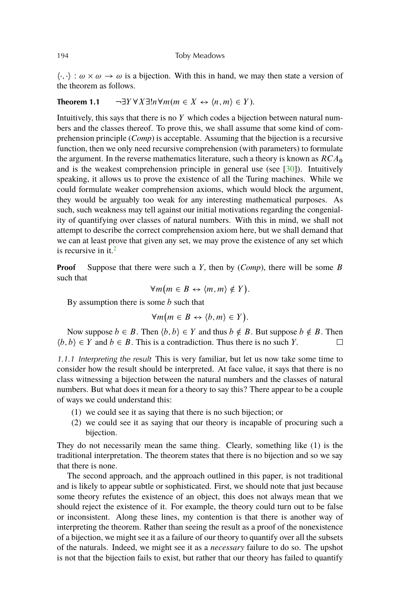<span id="page-3-0"></span> $\langle \cdot, \cdot \rangle : \omega \times \omega \to \omega$  is a bijection. With this in hand, we may then state a version of the theorem as follows.

**Theorem 1.1**  $\neg \exists Y \forall X \exists! n \forall m (m \in X \leftrightarrow \langle n, m \rangle \in Y)$ .

Intuitively, this says that there is no  $Y$  which codes a bijection between natural numbers and the classes thereof. To prove this, we shall assume that some kind of comprehension principle (*Comp*) is acceptable. Assuming that the bijection is a recursive function, then we only need recursive comprehension (with parameters) to formulate the argument. In the reverse mathematics literature, such a theory is known as  $RCA<sub>0</sub>$ and is the weakest comprehension principle in general use (see [\[30\]](#page-20-0)). Intuitively speaking, it allows us to prove the existence of all the Turing machines. While we could formulate weaker comprehension axioms, which would block the argument, they would be arguably too weak for any interesting mathematical purposes. As such, such weakness may tell against our initial motivations regarding the congeniality of quantifying over classes of natural numbers. With this in mind, we shall not attempt to describe the correct comprehension axiom here, but we shall demand that we can at least prove that given any set, we may prove the existence of any set which is recursive in it.<sup>[2](#page-17-0)</sup>

**Proof** Suppose that there were such a Y, then by (*Comp*), there will be some B such that

$$
\forall m \big( m \in B \leftrightarrow \langle m, m \rangle \notin Y \big).
$$

By assumption there is some  $b$  such that

$$
\forall m \big( m \in B \leftrightarrow \langle b, m \rangle \in Y \big).
$$

Now suppose  $b \in B$ . Then  $\langle b, b \rangle \in Y$  and thus  $b \notin B$ . But suppose  $b \notin B$ . Then  $\langle b, b \rangle \in Y$  and  $b \in B$ . This is a contradiction. Thus there is no such Y.  $\Box$ 

1.1.1 Interpreting the result This is very familiar, but let us now take some time to consider how the result should be interpreted. At face value, it says that there is no class witnessing a bijection between the natural numbers and the classes of natural numbers. But what does it mean for a theory to say this? There appear to be a couple of ways we could understand this:

- (1) we could see it as saying that there is no such bijection; or
- (2) we could see it as saying that our theory is incapable of procuring such a bijection.

They do not necessarily mean the same thing. Clearly, something like (1) is the traditional interpretation. The theorem states that there is no bijection and so we say that there is none.

The second approach, and the approach outlined in this paper, is not traditional and is likely to appear subtle or sophisticated. First, we should note that just because some theory refutes the existence of an object, this does not always mean that we should reject the existence of it. For example, the theory could turn out to be false or inconsistent. Along these lines, my contention is that there is another way of interpreting the theorem. Rather than seeing the result as a proof of the nonexistence of a bijection, we might see it as a failure of our theory to quantify over all the subsets of the naturals. Indeed, we might see it as a *necessary* failure to do so. The upshot is not that the bijection fails to exist, but rather that our theory has failed to quantify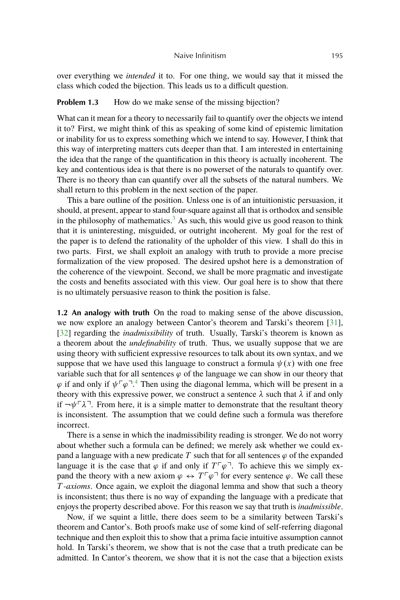<span id="page-4-0"></span>over everything we *intended* it to. For one thing, we would say that it missed the class which coded the bijection. This leads us to a difficult question.

# **Problem 1.3** How do we make sense of the missing bijection?

What can it mean for a theory to necessarily fail to quantify over the objects we intend it to? First, we might think of this as speaking of some kind of epistemic limitation or inability for us to express something which we intend to say. However, I think that this way of interpreting matters cuts deeper than that. I am interested in entertaining the idea that the range of the quantification in this theory is actually incoherent. The key and contentious idea is that there is no powerset of the naturals to quantify over. There is no theory than can quantify over all the subsets of the natural numbers. We shall return to this problem in the next section of the paper.

This a bare outline of the position. Unless one is of an intuitionistic persuasion, it should, at present, appear to stand four-square against all that is orthodox and sensible in the philosophy of mathematics.<sup>[3](#page-17-0)</sup> As such, this would give us good reason to think that it is uninteresting, misguided, or outright incoherent. My goal for the rest of the paper is to defend the rationality of the upholder of this view. I shall do this in two parts. First, we shall exploit an analogy with truth to provide a more precise formalization of the view proposed. The desired upshot here is a demonstration of the coherence of the viewpoint. Second, we shall be more pragmatic and investigate the costs and benefits associated with this view. Our goal here is to show that there is no ultimately persuasive reason to think the position is false.

**1.2 An analogy with truth** On the road to making sense of the above discussion, we now explore an analogy between Cantor's theorem and Tarski's theorem [\[31\]](#page-20-0), [\[32\]](#page-20-0) regarding the *inadmissibility* of truth. Usually, Tarski's theorem is known as a theorem about the *undefinability* of truth. Thus, we usually suppose that we are using theory with sufficient expressive resources to talk about its own syntax, and we suppose that we have used this language to construct a formula  $\psi(x)$  with one free variable such that for all sentences  $\varphi$  of the language we can show in our theory that  $\varphi$  if and only if  $\psi \lceil \varphi \rceil$ .<sup>[4](#page-17-0)</sup> Then using the diagonal lemma, which will be present in a theory with this expressive power, we construct a sentence  $\lambda$  such that  $\lambda$  if and only if  $\neg \psi \ulcorner \lambda \urcorner$ . From here, it is a simple matter to demonstrate that the resultant theory is inconsistent. The assumption that we could define such a formula was therefore incorrect.

There is a sense in which the inadmissibility reading is stronger. We do not worry about whether such a formula can be defined; we merely ask whether we could expand a language with a new predicate T such that for all sentences  $\varphi$  of the expanded language it is the case that  $\varphi$  if and only if  $T^{\top} \varphi$ <sup> $\top$ </sup>. To achieve this we simply expand the theory with a new axiom  $\varphi \leftrightarrow T^{\dagger} \varphi^{\dagger}$  for every sentence  $\varphi$ . We call these T *-axioms*. Once again, we exploit the diagonal lemma and show that such a theory is inconsistent; thus there is no way of expanding the language with a predicate that enjoys the property described above. For this reason we say that truth is *inadmissible*.

Now, if we squint a little, there does seem to be a similarity between Tarski's theorem and Cantor's. Both proofs make use of some kind of self-referring diagonal technique and then exploit this to show that a prima facie intuitive assumption cannot hold. In Tarski's theorem, we show that is not the case that a truth predicate can be admitted. In Cantor's theorem, we show that it is not the case that a bijection exists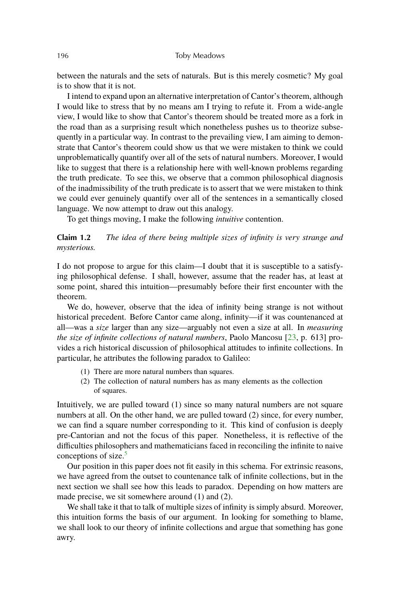<span id="page-5-0"></span>between the naturals and the sets of naturals. But is this merely cosmetic? My goal is to show that it is not.

I intend to expand upon an alternative interpretation of Cantor's theorem, although I would like to stress that by no means am I trying to refute it. From a wide-angle view, I would like to show that Cantor's theorem should be treated more as a fork in the road than as a surprising result which nonetheless pushes us to theorize subsequently in a particular way. In contrast to the prevailing view, I am aiming to demonstrate that Cantor's theorem could show us that we were mistaken to think we could unproblematically quantify over all of the sets of natural numbers. Moreover, I would like to suggest that there is a relationship here with well-known problems regarding the truth predicate. To see this, we observe that a common philosophical diagnosis of the inadmissibility of the truth predicate is to assert that we were mistaken to think we could ever genuinely quantify over all of the sentences in a semantically closed language. We now attempt to draw out this analogy.

To get things moving, I make the following *intuitive* contention.

**Claim 1.2** *The idea of there being multiple sizes of infinity is very strange and mysterious.*

I do not propose to argue for this claim—I doubt that it is susceptible to a satisfying philosophical defense. I shall, however, assume that the reader has, at least at some point, shared this intuition—presumably before their first encounter with the theorem.

We do, however, observe that the idea of infinity being strange is not without historical precedent. Before Cantor came along, infinity—if it was countenanced at all—was a *size* larger than any size—arguably not even a size at all. In *measuring the size of infinite collections of natural numbers*, Paolo Mancosu [\[23,](#page-20-0) p. 613] provides a rich historical discussion of philosophical attitudes to infinite collections. In particular, he attributes the following paradox to Galileo:

- (1) There are more natural numbers than squares.
- (2) The collection of natural numbers has as many elements as the collection of squares.

Intuitively, we are pulled toward (1) since so many natural numbers are not square numbers at all. On the other hand, we are pulled toward (2) since, for every number, we can find a square number corresponding to it. This kind of confusion is deeply pre-Cantorian and not the focus of this paper. Nonetheless, it is reflective of the difficulties philosophers and mathematicians faced in reconciling the infinite to naive conceptions of size. $5$ 

Our position in this paper does not fit easily in this schema. For extrinsic reasons, we have agreed from the outset to countenance talk of infinite collections, but in the next section we shall see how this leads to paradox. Depending on how matters are made precise, we sit somewhere around (1) and (2).

We shall take it that to talk of multiple sizes of infinity is simply absurd. Moreover, this intuition forms the basis of our argument. In looking for something to blame, we shall look to our theory of infinite collections and argue that something has gone awry.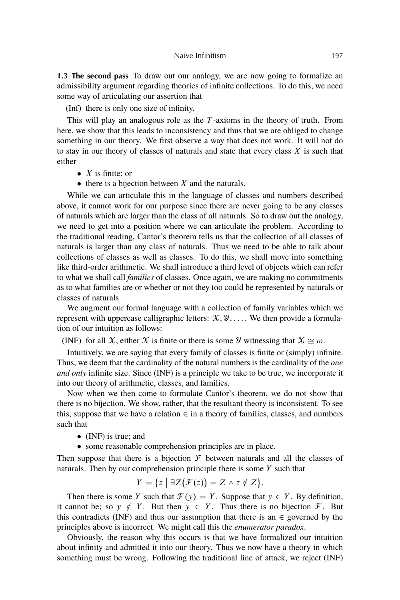**1.3 The second pass** To draw out our analogy, we are now going to formalize an admissibility argument regarding theories of infinite collections. To do this, we need some way of articulating our assertion that

(Inf) there is only one size of infinity.

This will play an analogous role as the  $T$ -axioms in the theory of truth. From here, we show that this leads to inconsistency and thus that we are obliged to change something in our theory. We first observe a way that does not work. It will not do to stay in our theory of classes of naturals and state that every class  $X$  is such that either

- $\bullet$  X is finite; or
- $\bullet$  there is a bijection between X and the naturals.

While we can articulate this in the language of classes and numbers described above, it cannot work for our purpose since there are never going to be any classes of naturals which are larger than the class of all naturals. So to draw out the analogy, we need to get into a position where we can articulate the problem. According to the traditional reading, Cantor's theorem tells us that the collection of all classes of naturals is larger than any class of naturals. Thus we need to be able to talk about collections of classes as well as classes. To do this, we shall move into something like third-order arithmetic. We shall introduce a third level of objects which can refer to what we shall call *families* of classes. Once again, we are making no commitments as to what families are or whether or not they too could be represented by naturals or classes of naturals.

We augment our formal language with a collection of family variables which we represent with uppercase calligraphic letters:  $\mathcal{X}, \mathcal{Y}, \ldots$ . We then provide a formulation of our intuition as follows:

(INF) for all X, either X is finite or there is some Y witnessing that  $X \cong \omega$ .

Intuitively, we are saying that every family of classes is finite or (simply) infinite. Thus, we deem that the cardinality of the natural numbers is the cardinality of the *one and only* infinite size. Since (INF) is a principle we take to be true, we incorporate it into our theory of arithmetic, classes, and families.

Now when we then come to formulate Cantor's theorem, we do not show that there is no bijection. We show, rather, that the resultant theory is inconsistent. To see this, suppose that we have a relation  $\in$  in a theory of families, classes, and numbers such that

- (INF) is true; and
- some reasonable comprehension principles are in place.

Then suppose that there is a bijection  $\mathcal F$  between naturals and all the classes of naturals. Then by our comprehension principle there is some  $Y$  such that

$$
Y = \{ z \mid \exists Z \big( \mathcal{F}(z) \big) = Z \land z \notin Z \}.
$$

Then there is some Y such that  $\mathcal{F}(y) = Y$ . Suppose that  $y \in Y$ . By definition, it cannot be; so  $y \notin Y$ . But then  $y \in Y$ . Thus there is no bijection  $\mathcal{F}$ . But this contradicts (INF) and thus our assumption that there is an  $\in$  governed by the principles above is incorrect. We might call this the *enumerator paradox*.

Obviously, the reason why this occurs is that we have formalized our intuition about infinity and admitted it into our theory. Thus we now have a theory in which something must be wrong. Following the traditional line of attack, we reject (INF)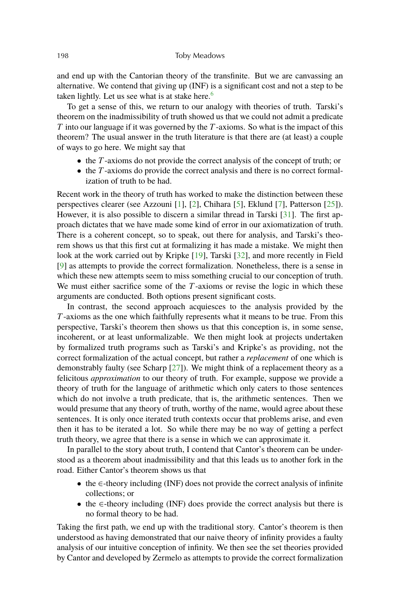<span id="page-7-0"></span>and end up with the Cantorian theory of the transfinite. But we are canvassing an alternative. We contend that giving up (INF) is a significant cost and not a step to be taken lightly. Let us see what is at stake here.<sup>[6](#page-17-0)</sup>

To get a sense of this, we return to our analogy with theories of truth. Tarski's theorem on the inadmissibility of truth showed us that we could not admit a predicate  $T$  into our language if it was governed by the  $T$ -axioms. So what is the impact of this theorem? The usual answer in the truth literature is that there are (at least) a couple of ways to go here. We might say that

- $\bullet$  the T-axioms do not provide the correct analysis of the concept of truth; or
- $\bullet$  the T-axioms do provide the correct analysis and there is no correct formalization of truth to be had.

Recent work in the theory of truth has worked to make the distinction between these perspectives clearer (see Azzouni [\[1\]](#page-19-0), [\[2\]](#page-19-0), Chihara [\[5\]](#page-19-0), Eklund [\[7\]](#page-19-0), Patterson [\[25\]](#page-20-0)). However, it is also possible to discern a similar thread in Tarski [\[31\]](#page-20-0). The first approach dictates that we have made some kind of error in our axiomatization of truth. There is a coherent concept, so to speak, out there for analysis, and Tarski's theorem shows us that this first cut at formalizing it has made a mistake. We might then look at the work carried out by Kripke [\[19\]](#page-19-0), Tarski [\[32\]](#page-20-0), and more recently in Field [\[9\]](#page-19-0) as attempts to provide the correct formalization. Nonetheless, there is a sense in which these new attempts seem to miss something crucial to our conception of truth. We must either sacrifice some of the  $T$ -axioms or revise the logic in which these arguments are conducted. Both options present significant costs.

In contrast, the second approach acquiesces to the analysis provided by the T -axioms as the one which faithfully represents what it means to be true. From this perspective, Tarski's theorem then shows us that this conception is, in some sense, incoherent, or at least unformalizable. We then might look at projects undertaken by formalized truth programs such as Tarski's and Kripke's as providing, not the correct formalization of the actual concept, but rather a *replacement* of one which is demonstrably faulty (see Scharp [\[27\]](#page-20-0)). We might think of a replacement theory as a felicitous *approximation* to our theory of truth. For example, suppose we provide a theory of truth for the language of arithmetic which only caters to those sentences which do not involve a truth predicate, that is, the arithmetic sentences. Then we would presume that any theory of truth, worthy of the name, would agree about these sentences. It is only once iterated truth contexts occur that problems arise, and even then it has to be iterated a lot. So while there may be no way of getting a perfect truth theory, we agree that there is a sense in which we can approximate it.

In parallel to the story about truth, I contend that Cantor's theorem can be understood as a theorem about inadmissibility and that this leads us to another fork in the road. Either Cantor's theorem shows us that

- $\bullet$  the  $\in$ -theory including (INF) does not provide the correct analysis of infinite collections; or
- $\bullet$  the  $\in$ -theory including (INF) does provide the correct analysis but there is no formal theory to be had.

Taking the first path, we end up with the traditional story. Cantor's theorem is then understood as having demonstrated that our naive theory of infinity provides a faulty analysis of our intuitive conception of infinity. We then see the set theories provided by Cantor and developed by Zermelo as attempts to provide the correct formalization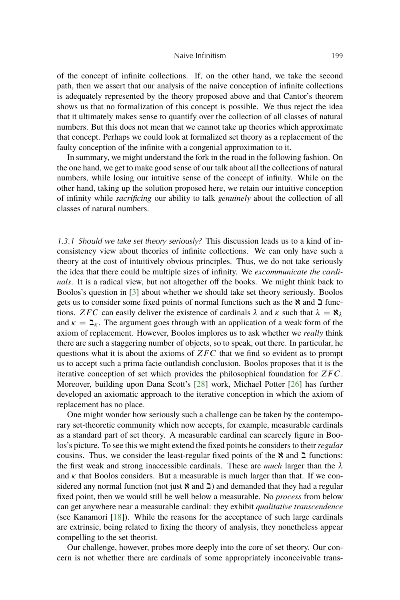<span id="page-8-0"></span>of the concept of infinite collections. If, on the other hand, we take the second path, then we assert that our analysis of the naive conception of infinite collections is adequately represented by the theory proposed above and that Cantor's theorem shows us that no formalization of this concept is possible. We thus reject the idea that it ultimately makes sense to quantify over the collection of all classes of natural numbers. But this does not mean that we cannot take up theories which approximate that concept. Perhaps we could look at formalized set theory as a replacement of the faulty conception of the infinite with a congenial approximation to it.

In summary, we might understand the fork in the road in the following fashion. On the one hand, we get to make good sense of our talk about all the collections of natural numbers, while losing our intuitive sense of the concept of infinity. While on the other hand, taking up the solution proposed here, we retain our intuitive conception of infinity while *sacrificing* our ability to talk *genuinely* about the collection of all classes of natural numbers.

1.3.1 Should we take set theory seriously? This discussion leads us to a kind of inconsistency view about theories of infinite collections. We can only have such a theory at the cost of intuitively obvious principles. Thus, we do not take seriously the idea that there could be multiple sizes of infinity. We *excommunicate the cardinals*. It is a radical view, but not altogether off the books. We might think back to Boolos's question in [\[3\]](#page-19-0) about whether we should take set theory seriously. Boolos gets us to consider some fixed points of normal functions such as the  $\aleph$  and  $\supseteq$  functions. ZFC can easily deliver the existence of cardinals  $\lambda$  and  $\kappa$  such that  $\lambda = \aleph_{\lambda}$ and  $\kappa = \mathbf{I}_{\kappa}$ . The argument goes through with an application of a weak form of the axiom of replacement. However, Boolos implores us to ask whether we *really* think there are such a staggering number of objects, so to speak, out there. In particular, he questions what it is about the axioms of  $ZFC$  that we find so evident as to prompt us to accept such a prima facie outlandish conclusion. Boolos proposes that it is the iterative conception of set which provides the philosophical foundation for  $ZFC$ . Moreover, building upon Dana Scott's [\[28\]](#page-20-0) work, Michael Potter [\[26\]](#page-20-0) has further developed an axiomatic approach to the iterative conception in which the axiom of replacement has no place.

One might wonder how seriously such a challenge can be taken by the contemporary set-theoretic community which now accepts, for example, measurable cardinals as a standard part of set theory. A measurable cardinal can scarcely figure in Boolos's picture. To see this we might extend the fixed points he considers to their*regular* cousins. Thus, we consider the least-regular fixed points of the  $\aleph$  and  $\supset$  functions: the first weak and strong inaccessible cardinals. These are *much* larger than the  $\lambda$ and  $\kappa$  that Boolos considers. But a measurable is much larger than that. If we considered any normal function (not just  $\aleph$  and  $\supset$ ) and demanded that they had a regular fixed point, then we would still be well below a measurable. No *process* from below can get anywhere near a measurable cardinal: they exhibit *qualitative transcendence* (see Kanamori [\[18\]](#page-19-0)). While the reasons for the acceptance of such large cardinals are extrinsic, being related to fixing the theory of analysis, they nonetheless appear compelling to the set theorist.

Our challenge, however, probes more deeply into the core of set theory. Our concern is not whether there are cardinals of some appropriately inconceivable trans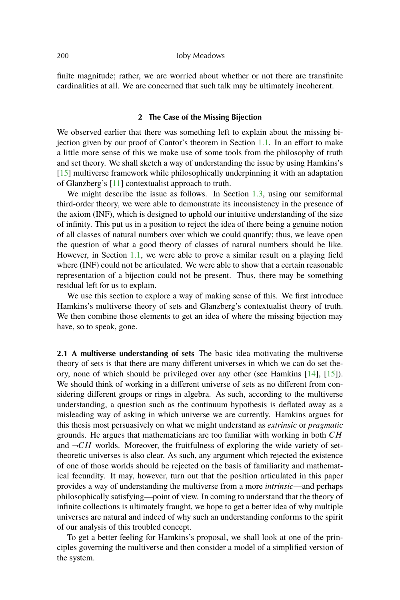<span id="page-9-0"></span>finite magnitude; rather, we are worried about whether or not there are transfinite cardinalities at all. We are concerned that such talk may be ultimately incoherent.

# **2 The Case of the Missing Bijection**

We observed earlier that there was something left to explain about the missing bijection given by our proof of Cantor's theorem in Section [1.1.](#page-2-0) In an effort to make a little more sense of this we make use of some tools from the philosophy of truth and set theory. We shall sketch a way of understanding the issue by using Hamkins's [\[15\]](#page-19-0) multiverse framework while philosophically underpinning it with an adaptation of Glanzberg's [\[11\]](#page-19-0) contextualist approach to truth.

We might describe the issue as follows. In Section [1.3,](#page-5-0) using our semiformal third-order theory, we were able to demonstrate its inconsistency in the presence of the axiom (INF), which is designed to uphold our intuitive understanding of the size of infinity. This put us in a position to reject the idea of there being a genuine notion of all classes of natural numbers over which we could quantify; thus, we leave open the question of what a good theory of classes of natural numbers should be like. However, in Section [1.1,](#page-2-0) we were able to prove a similar result on a playing field where (INF) could not be articulated. We were able to show that a certain reasonable representation of a bijection could not be present. Thus, there may be something residual left for us to explain.

We use this section to explore a way of making sense of this. We first introduce Hamkins's multiverse theory of sets and Glanzberg's contextualist theory of truth. We then combine those elements to get an idea of where the missing bijection may have, so to speak, gone.

**2.1 A multiverse understanding of sets** The basic idea motivating the multiverse theory of sets is that there are many different universes in which we can do set theory, none of which should be privileged over any other (see Hamkins [\[14\]](#page-19-0), [\[15\]](#page-19-0)). We should think of working in a different universe of sets as no different from considering different groups or rings in algebra. As such, according to the multiverse understanding, a question such as the continuum hypothesis is deflated away as a misleading way of asking in which universe we are currently. Hamkins argues for this thesis most persuasively on what we might understand as *extrinsic* or *pragmatic* grounds. He argues that mathematicians are too familiar with working in both  $CH$ and  $\neg CH$  worlds. Moreover, the fruitfulness of exploring the wide variety of settheoretic universes is also clear. As such, any argument which rejected the existence of one of those worlds should be rejected on the basis of familiarity and mathematical fecundity. It may, however, turn out that the position articulated in this paper provides a way of understanding the multiverse from a more *intrinsic*—and perhaps philosophically satisfying—point of view. In coming to understand that the theory of infinite collections is ultimately fraught, we hope to get a better idea of why multiple universes are natural and indeed of why such an understanding conforms to the spirit of our analysis of this troubled concept.

To get a better feeling for Hamkins's proposal, we shall look at one of the principles governing the multiverse and then consider a model of a simplified version of the system.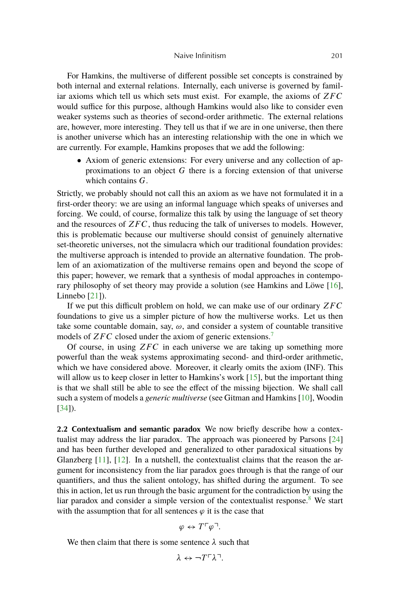<span id="page-10-0"></span>For Hamkins, the multiverse of different possible set concepts is constrained by both internal and external relations. Internally, each universe is governed by familiar axioms which tell us which sets must exist. For example, the axioms of  $ZFC$ would suffice for this purpose, although Hamkins would also like to consider even weaker systems such as theories of second-order arithmetic. The external relations are, however, more interesting. They tell us that if we are in one universe, then there is another universe which has an interesting relationship with the one in which we are currently. For example, Hamkins proposes that we add the following:

 Axiom of generic extensions: For every universe and any collection of approximations to an object  $G$  there is a forcing extension of that universe which contains G.

Strictly, we probably should not call this an axiom as we have not formulated it in a first-order theory: we are using an informal language which speaks of universes and forcing. We could, of course, formalize this talk by using the language of set theory and the resources of  $ZFC$ , thus reducing the talk of universes to models. However, this is problematic because our multiverse should consist of genuinely alternative set-theoretic universes, not the simulacra which our traditional foundation provides: the multiverse approach is intended to provide an alternative foundation. The problem of an axiomatization of the multiverse remains open and beyond the scope of this paper; however, we remark that a synthesis of modal approaches in contemporary philosophy of set theory may provide a solution (see Hamkins and Löwe [\[16\]](#page-19-0), Linnebo [\[21\]](#page-20-0)).

If we put this difficult problem on hold, we can make use of our ordinary  $ZFC$ foundations to give us a simpler picture of how the multiverse works. Let us then take some countable domain, say,  $\omega$ , and consider a system of countable transitive models of  $ZFC$  closed under the axiom of generic extensions.<sup>[7](#page-18-0)</sup>

Of course, in using  $ZFC$  in each universe we are taking up something more powerful than the weak systems approximating second- and third-order arithmetic, which we have considered above. Moreover, it clearly omits the axiom (INF). This will allow us to keep closer in letter to Hamkins's work  $[15]$ , but the important thing is that we shall still be able to see the effect of the missing bijection. We shall call such a system of models a *generic multiverse* (see Gitman and Hamkins [\[10\]](#page-19-0), Woodin [\[34\]](#page-20-0)).

**2.2 Contextualism and semantic paradox** We now briefly describe how a contextualist may address the liar paradox. The approach was pioneered by Parsons [\[24\]](#page-20-0) and has been further developed and generalized to other paradoxical situations by Glanzberg  $[11]$ ,  $[12]$ . In a nutshell, the contextualist claims that the reason the argument for inconsistency from the liar paradox goes through is that the range of our quantifiers, and thus the salient ontology, has shifted during the argument. To see this in action, let us run through the basic argument for the contradiction by using the liar paradox and consider a simple version of the contextualist response.<sup>[8](#page-18-0)</sup> We start with the assumption that for all sentences  $\varphi$  it is the case that

$$
\varphi \leftrightarrow T^{\mathsf{T}} \varphi^{\mathsf{T}}.
$$

We then claim that there is some sentence  $\lambda$  such that

$$
\lambda \leftrightarrow \neg T^\top \lambda^\top.
$$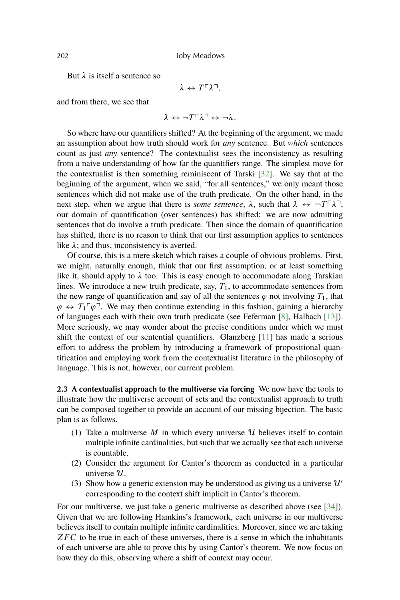But  $\lambda$  is itself a sentence so

$$
\lambda \leftrightarrow T^\Gamma \lambda^\neg,
$$

and from there, we see that

$$
\lambda \leftrightarrow \neg T \ulcorner \lambda \urcorner \leftrightarrow \neg \lambda.
$$

So where have our quantifiers shifted? At the beginning of the argument, we made an assumption about how truth should work for *any* sentence. But *which* sentences count as just *any* sentence? The contextualist sees the inconsistency as resulting from a naive understanding of how far the quantifiers range. The simplest move for the contextualist is then something reminiscent of Tarski [\[32\]](#page-20-0). We say that at the beginning of the argument, when we said, "for all sentences," we only meant those sentences which did not make use of the truth predicate. On the other hand, in the next step, when we argue that there is *some sentence*,  $\lambda$ , such that  $\lambda \leftrightarrow \neg T \Box T$ , our domain of quantification (over sentences) has shifted: we are now admitting sentences that do involve a truth predicate. Then since the domain of quantification has shifted, there is no reason to think that our first assumption applies to sentences like  $\lambda$ ; and thus, inconsistency is averted.

Of course, this is a mere sketch which raises a couple of obvious problems. First, we might, naturally enough, think that our first assumption, or at least something like it, should apply to  $\lambda$  too. This is easy enough to accommodate along Tarskian lines. We introduce a new truth predicate, say,  $T_1$ , to accommodate sentences from the new range of quantification and say of all the sentences  $\varphi$  not involving  $T_1$ , that  $\varphi \leftrightarrow T_1 \lceil \varphi \rceil$ . We may then continue extending in this fashion, gaining a hierarchy of languages each with their own truth predicate (see Feferman [\[8\]](#page-19-0), Halbach [\[13\]](#page-19-0)). More seriously, we may wonder about the precise conditions under which we must shift the context of our sentential quantifiers. Glanzberg [\[11\]](#page-19-0) has made a serious effort to address the problem by introducing a framework of propositional quantification and employing work from the contextualist literature in the philosophy of language. This is not, however, our current problem.

**2.3 A contextualist approach to the multiverse via forcing** We now have the tools to illustrate how the multiverse account of sets and the contextualist approach to truth can be composed together to provide an account of our missing bijection. The basic plan is as follows.

- (1) Take a multiverse M in which every universe U believes itself to contain multiple infinite cardinalities, but such that we actually see that each universe is countable.
- (2) Consider the argument for Cantor's theorem as conducted in a particular universe  $\mathcal{U}$ .
- (3) Show how a generic extension may be understood as giving us a universe  $\mathcal{U}'$ corresponding to the context shift implicit in Cantor's theorem.

For our multiverse, we just take a generic multiverse as described above (see [\[34\]](#page-20-0)). Given that we are following Hamkins's framework, each universe in our multiverse believes itself to contain multiple infinite cardinalities. Moreover, since we are taking  $ZFC$  to be true in each of these universes, there is a sense in which the inhabitants of each universe are able to prove this by using Cantor's theorem. We now focus on how they do this, observing where a shift of context may occur.

<span id="page-11-0"></span>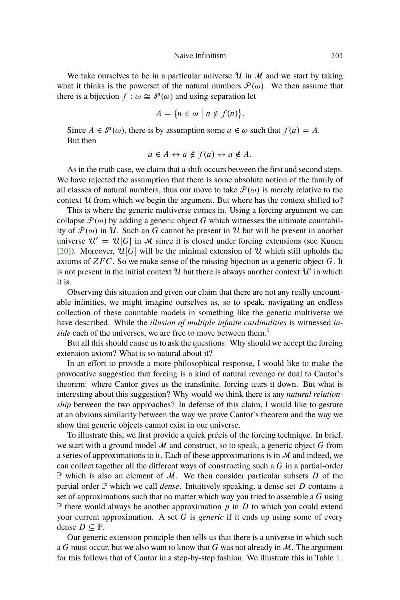<span id="page-12-0"></span>We take ourselves to be in a particular universe  $\mathcal U$  in  $\mathcal M$  and we start by taking what it thinks is the powerset of the natural numbers  $\mathcal{P}(\omega)$ . We then assume that there is a bijection  $f : \omega \cong \mathcal{P}(\omega)$  and using separation let

$$
A = \{ n \in \omega \mid n \notin f(n) \}.
$$

Since  $A \in \mathcal{P}(\omega)$ , there is by assumption some  $a \in \omega$  such that  $f(a) = A$ . But then

$$
a \in A \leftrightarrow a \notin f(a) \leftrightarrow a \notin A.
$$

As in the truth case, we claim that a shift occurs between the first and second steps. We have rejected the assumption that there is some absolute notion of the family of all classes of natural numbers, thus our move to take  $\mathcal{P}(\omega)$  is merely relative to the context  $U$  from which we begin the argument. But where has the context shifted to?

This is where the generic multiverse comes in. Using a forcing argument we can collapse  $\mathcal{P}(\omega)$  by adding a generic object G which witnesses the ultimate countability of  $\mathcal{P}(\omega)$  in U. Such an G cannot be present in U but will be present in another universe  $\mathcal{U}' = \mathcal{U}[G]$  in M since it is closed under forcing extensions (see Kunen [\[20\]](#page-20-0)). Moreover,  $\mathcal{U}[G]$  will be the minimal extension of U which still upholds the axioms of  $ZFC$ . So we make sense of the missing bijection as a generic object G. It is not present in the initial context  $\mathcal U$  but there is always another context  $\mathcal U'$  in which it is.

Observing this situation and given our claim that there are not any really uncountable infinities, we might imagine ourselves as, so to speak, navigating an endless collection of these countable models in something like the generic multiverse we have described. While the *illusion of multiple infinite cardinalities* is witnessed *inside* each of the universes, we are free to move between them.<sup>[9](#page-18-0)</sup>

But all this should cause us to ask the questions: Why should we accept the forcing extension axiom? What is so natural about it?

In an effort to provide a more philosophical response, I would like to make the provocative suggestion that forcing is a kind of natural revenge or dual to Cantor's theorem: where Cantor gives us the transfinite, forcing tears it down. But what is interesting about this suggestion? Why would we think there is any *natural relationship* between the two approaches? In defense of this claim, I would like to gesture at an obvious similarity between the way we prove Cantor's theorem and the way we show that generic objects cannot exist in our universe.

To illustrate this, we first provide a quick précis of the forcing technique. In brief, we start with a ground model  $\mathcal M$  and construct, so to speak, a generic object G from a series of approximations to it. Each of these approximations is in  $\mathcal M$  and indeed, we can collect together all the different ways of constructing such a  $G$  in a partial-order  $\mathbb P$  which is also an element of M. We then consider particular subsets D of the partial order P which we call *dense*. Intuitively speaking, a dense set D contains a set of approximations such that no matter which way you tried to assemble a  $G$  using  $\mathbb P$  there would always be another approximation p in D to which you could extend your current approximation. A set G is *generic* if it ends up using some of every dense  $D \subseteq \mathbb{P}$ .

Our generic extension principle then tells us that there is a universe in which such a G must occur, but we also want to know that G was not already in  $\mathcal{M}$ . The argument for this follows that of Cantor in a step-by-step fashion. We illustrate this in Table [1.](#page-13-0)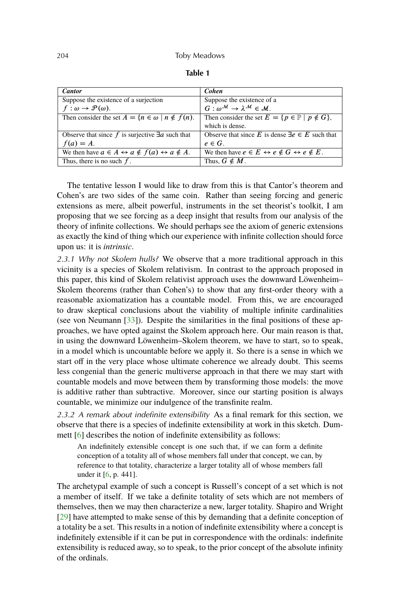#### <span id="page-13-0"></span>204 Toby Meadows

| <b>Cantor</b>                                                                     | <b>Cohen</b>                                                                   |
|-----------------------------------------------------------------------------------|--------------------------------------------------------------------------------|
| Suppose the existence of a surjection                                             | Suppose the existence of a                                                     |
| $f: \omega \to \mathcal{P}(\omega)$ .                                             | $G: \omega^{\mathcal{M}} \to \lambda^{\mathcal{M}} \in \mathcal{M}.$           |
| Then consider the set $A = \{n \in \omega \mid n \notin f(n)\}$ .                 | Then consider the set $E = \{p \in \mathbb{P} \mid p \notin G\},\$             |
|                                                                                   | which is dense.                                                                |
| Observe that since f is surjective $\exists a$ such that                          | Observe that since E is dense $\exists e \in E$ such that                      |
| $f(a) = A$ .                                                                      | $e \in G$ .                                                                    |
| We then have $a \in A \leftrightarrow a \notin f(a) \leftrightarrow a \notin A$ . | We then have $e \in E \leftrightarrow e \notin G \leftrightarrow e \notin E$ . |
| Thus, there is no such $f$ .                                                      | Thus, $G \notin M$ .                                                           |

| ۹<br>٠<br>٠<br>٠<br>× | ٠ |
|-----------------------|---|
|-----------------------|---|

The tentative lesson I would like to draw from this is that Cantor's theorem and Cohen's are two sides of the same coin. Rather than seeing forcing and generic extensions as mere, albeit powerful, instruments in the set theorist's toolkit, I am proposing that we see forcing as a deep insight that results from our analysis of the theory of infinite collections. We should perhaps see the axiom of generic extensions as exactly the kind of thing which our experience with infinite collection should force upon us: it is *intrinsic*.

2.3.1 Why not Skolem hulls? We observe that a more traditional approach in this vicinity is a species of Skolem relativism. In contrast to the approach proposed in this paper, this kind of Skolem relativist approach uses the downward Löwenheim– Skolem theorems (rather than Cohen's) to show that any first-order theory with a reasonable axiomatization has a countable model. From this, we are encouraged to draw skeptical conclusions about the viability of multiple infinite cardinalities (see von Neumann [\[33\]](#page-20-0)). Despite the similarities in the final positions of these approaches, we have opted against the Skolem approach here. Our main reason is that, in using the downward Löwenheim–Skolem theorem, we have to start, so to speak, in a model which is uncountable before we apply it. So there is a sense in which we start off in the very place whose ultimate coherence we already doubt. This seems less congenial than the generic multiverse approach in that there we may start with countable models and move between them by transforming those models: the move is additive rather than subtractive. Moreover, since our starting position is always countable, we minimize our indulgence of the transfinite realm.

2.3.2 A remark about indefinite extensibility As a final remark for this section, we observe that there is a species of indefinite extensibility at work in this sketch. Dummett [\[6\]](#page-19-0) describes the notion of indefinite extensibility as follows:

An indefinitely extensible concept is one such that, if we can form a definite conception of a totality all of whose members fall under that concept, we can, by reference to that totality, characterize a larger totality all of whose members fall under it [\[6,](#page-19-0) p. 441].

The archetypal example of such a concept is Russell's concept of a set which is not a member of itself. If we take a definite totality of sets which are not members of themselves, then we may then characterize a new, larger totality. Shapiro and Wright [\[29\]](#page-20-0) have attempted to make sense of this by demanding that a definite conception of a totality be a set. This results in a notion of indefinite extensibility where a concept is indefinitely extensible if it can be put in correspondence with the ordinals: indefinite extensibility is reduced away, so to speak, to the prior concept of the absolute infinity of the ordinals.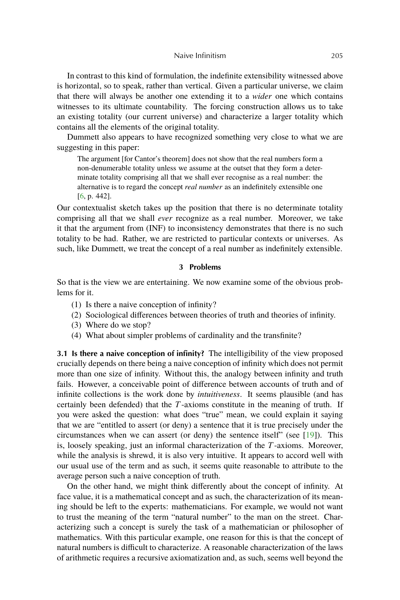<span id="page-14-0"></span>In contrast to this kind of formulation, the indefinite extensibility witnessed above is horizontal, so to speak, rather than vertical. Given a particular universe, we claim that there will always be another one extending it to a *wider* one which contains witnesses to its ultimate countability. The forcing construction allows us to take an existing totality (our current universe) and characterize a larger totality which contains all the elements of the original totality.

Dummett also appears to have recognized something very close to what we are suggesting in this paper:

The argument [for Cantor's theorem] does not show that the real numbers form a non-denumerable totality unless we assume at the outset that they form a determinate totality comprising all that we shall ever recognise as a real number: the alternative is to regard the concept *real number* as an indefinitely extensible one [\[6,](#page-19-0) p. 442].

Our contextualist sketch takes up the position that there is no determinate totality comprising all that we shall *ever* recognize as a real number. Moreover, we take it that the argument from (INF) to inconsistency demonstrates that there is no such totality to be had. Rather, we are restricted to particular contexts or universes. As such, like Dummett, we treat the concept of a real number as indefinitely extensible.

# **3 Problems**

So that is the view we are entertaining. We now examine some of the obvious problems for it.

- (1) Is there a naive conception of infinity?
- (2) Sociological differences between theories of truth and theories of infinity.
- (3) Where do we stop?
- (4) What about simpler problems of cardinality and the transfinite?

**3.1 Is there a naive conception of infinity?** The intelligibility of the view proposed crucially depends on there being a naive conception of infinity which does not permit more than one size of infinity. Without this, the analogy between infinity and truth fails. However, a conceivable point of difference between accounts of truth and of infinite collections is the work done by *intuitiveness*. It seems plausible (and has certainly been defended) that the  $T$ -axioms constitute in the meaning of truth. If you were asked the question: what does "true" mean, we could explain it saying that we are "entitled to assert (or deny) a sentence that it is true precisely under the circumstances when we can assert (or deny) the sentence itself" (see [\[19\]](#page-19-0)). This is, loosely speaking, just an informal characterization of the  $T$ -axioms. Moreover, while the analysis is shrewd, it is also very intuitive. It appears to accord well with our usual use of the term and as such, it seems quite reasonable to attribute to the average person such a naive conception of truth.

On the other hand, we might think differently about the concept of infinity. At face value, it is a mathematical concept and as such, the characterization of its meaning should be left to the experts: mathematicians. For example, we would not want to trust the meaning of the term "natural number" to the man on the street. Characterizing such a concept is surely the task of a mathematician or philosopher of mathematics. With this particular example, one reason for this is that the concept of natural numbers is difficult to characterize. A reasonable characterization of the laws of arithmetic requires a recursive axiomatization and, as such, seems well beyond the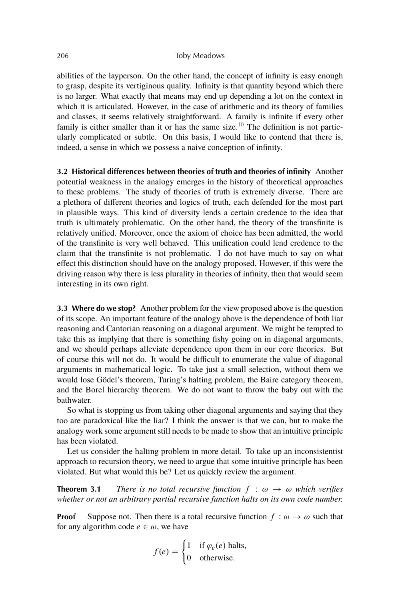# 206 Toby Meadows

abilities of the layperson. On the other hand, the concept of infinity is easy enough to grasp, despite its vertiginous quality. Infinity is that quantity beyond which there is no larger. What exactly that means may end up depending a lot on the context in which it is articulated. However, in the case of arithmetic and its theory of families and classes, it seems relatively straightforward. A family is infinite if every other family is either smaller than it or has the same size.<sup>[10](#page-18-0)</sup> The definition is not particularly complicated or subtle. On this basis, I would like to contend that there is, indeed, a sense in which we possess a naive conception of infinity.

**3.2 Historical differences between theories of truth and theories of infinity** Another potential weakness in the analogy emerges in the history of theoretical approaches to these problems. The study of theories of truth is extremely diverse. There are a plethora of different theories and logics of truth, each defended for the most part in plausible ways. This kind of diversity lends a certain credence to the idea that truth is ultimately problematic. On the other hand, the theory of the transfinite is relatively unified. Moreover, once the axiom of choice has been admitted, the world of the transfinite is very well behaved. This unification could lend credence to the claim that the transfinite is not problematic. I do not have much to say on what effect this distinction should have on the analogy proposed. However, if this were the driving reason why there is less plurality in theories of infinity, then that would seem interesting in its own right.

**3.3 Where do we stop?** Another problem for the view proposed above is the question of its scope. An important feature of the analogy above is the dependence of both liar reasoning and Cantorian reasoning on a diagonal argument. We might be tempted to take this as implying that there is something fishy going on in diagonal arguments, and we should perhaps alleviate dependence upon them in our core theories. But of course this will not do. It would be difficult to enumerate the value of diagonal arguments in mathematical logic. To take just a small selection, without them we would lose Gödel's theorem, Turing's halting problem, the Baire category theorem, and the Borel hierarchy theorem. We do not want to throw the baby out with the bathwater.

So what is stopping us from taking other diagonal arguments and saying that they too are paradoxical like the liar? I think the answer is that we can, but to make the analogy work some argument still needs to be made to show that an intuitive principle has been violated.

Let us consider the halting problem in more detail. To take up an inconsistentist approach to recursion theory, we need to argue that some intuitive principle has been violated. But what would this be? Let us quickly review the argument.

**Theorem 3.1** *There is no total recursive function*  $f : \omega \to \omega$  *which verifies whether or not an arbitrary partial recursive function halts on its own code number.*

**Proof** Suppose not. Then there is a total recursive function  $f : \omega \to \omega$  such that for any algorithm code  $e \in \omega$ , we have

$$
f(e) = \begin{cases} 1 & \text{if } \varphi_e(e) \text{ halts,} \\ 0 & \text{otherwise.} \end{cases}
$$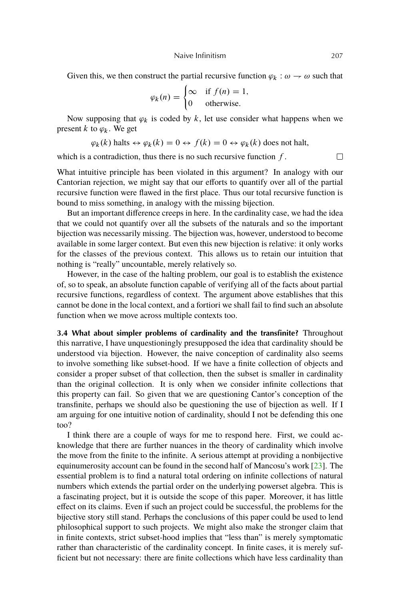<span id="page-16-0"></span>Given this, we then construct the partial recursive function  $\varphi_k : \omega \to \omega$  such that

$$
\varphi_k(n) = \begin{cases} \infty & \text{if } f(n) = 1, \\ 0 & \text{otherwise.} \end{cases}
$$

Now supposing that  $\varphi_k$  is coded by k, let use consider what happens when we present k to  $\varphi_k$ . We get

$$
\varphi_k(k)
$$
 halts  $\leftrightarrow \varphi_k(k) = 0 \leftrightarrow f(k) = 0 \leftrightarrow \varphi_k(k)$  does not halt,

which is a contradiction, thus there is no such recursive function  $f$ .

What intuitive principle has been violated in this argument? In analogy with our Cantorian rejection, we might say that our efforts to quantify over all of the partial recursive function were flawed in the first place. Thus our total recursive function is bound to miss something, in analogy with the missing bijection.

But an important difference creeps in here. In the cardinality case, we had the idea that we could not quantify over all the subsets of the naturals and so the important bijection was necessarily missing. The bijection was, however, understood to become available in some larger context. But even this new bijection is relative: it only works for the classes of the previous context. This allows us to retain our intuition that nothing is "really" uncountable, merely relatively so.

However, in the case of the halting problem, our goal is to establish the existence of, so to speak, an absolute function capable of verifying all of the facts about partial recursive functions, regardless of context. The argument above establishes that this cannot be done in the local context, and a fortiori we shall fail to find such an absolute function when we move across multiple contexts too.

**3.4 What about simpler problems of cardinality and the transfinite?** Throughout this narrative, I have unquestioningly presupposed the idea that cardinality should be understood via bijection. However, the naive conception of cardinality also seems to involve something like subset-hood. If we have a finite collection of objects and consider a proper subset of that collection, then the subset is smaller in cardinality than the original collection. It is only when we consider infinite collections that this property can fail. So given that we are questioning Cantor's conception of the transfinite, perhaps we should also be questioning the use of bijection as well. If I am arguing for one intuitive notion of cardinality, should I not be defending this one too?

I think there are a couple of ways for me to respond here. First, we could acknowledge that there are further nuances in the theory of cardinality which involve the move from the finite to the infinite. A serious attempt at providing a nonbijective equinumerosity account can be found in the second half of Mancosu's work [\[23\]](#page-20-0). The essential problem is to find a natural total ordering on infinite collections of natural numbers which extends the partial order on the underlying powerset algebra. This is a fascinating project, but it is outside the scope of this paper. Moreover, it has little effect on its claims. Even if such an project could be successful, the problems for the bijective story still stand. Perhaps the conclusions of this paper could be used to lend philosophical support to such projects. We might also make the stronger claim that in finite contexts, strict subset-hood implies that "less than" is merely symptomatic rather than characteristic of the cardinality concept. In finite cases, it is merely sufficient but not necessary: there are finite collections which have less cardinality than

 $\Box$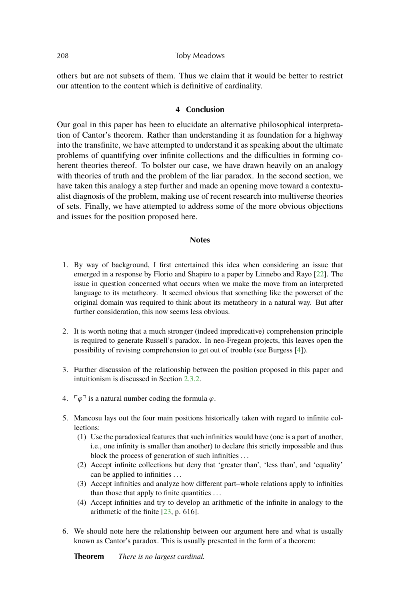## <span id="page-17-0"></span>208 Toby Meadows

others but are not subsets of them. Thus we claim that it would be better to restrict our attention to the content which is definitive of cardinality.

# **4 Conclusion**

Our goal in this paper has been to elucidate an alternative philosophical interpretation of Cantor's theorem. Rather than understanding it as foundation for a highway into the transfinite, we have attempted to understand it as speaking about the ultimate problems of quantifying over infinite collections and the difficulties in forming coherent theories thereof. To bolster our case, we have drawn heavily on an analogy with theories of truth and the problem of the liar paradox. In the second section, we have taken this analogy a step further and made an opening move toward a contextualist diagnosis of the problem, making use of recent research into multiverse theories of sets. Finally, we have attempted to address some of the more obvious objections and issues for the position proposed here.

# **Notes**

- 1. By way of background, I first entertained this idea when considering an issue that emerged in a response by Florio and Shapiro to a paper by Linnebo and Rayo [\[22\]](#page-20-0). The issue in question concerned what occurs when we make the move from an interpreted language to its metatheory. It seemed obvious that something like the powerset of the original domain was required to think about its metatheory in a natural way. But after further consideration, this now seems less obvious.
- 2. It is worth noting that a much stronger (indeed impredicative) comprehension principle is required to generate Russell's paradox. In neo-Fregean projects, this leaves open the possibility of revising comprehension to get out of trouble (see Burgess [\[4\]](#page-19-0)).
- 3. Further discussion of the relationship between the position proposed in this paper and intuitionism is discussed in Section [2.3.2.](#page-13-0)
- 4.  $\lceil \varphi \rceil$  is a natural number coding the formula  $\varphi$ .
- 5. Mancosu lays out the four main positions historically taken with regard to infinite collections:
	- (1) Use the paradoxical features that such infinities would have (one is a part of another, i.e., one infinity is smaller than another) to declare this strictly impossible and thus block the process of generation of such infinities . . .
	- (2) Accept infinite collections but deny that 'greater than', 'less than', and 'equality' can be applied to infinities . . .
	- (3) Accept infinities and analyze how different part–whole relations apply to infinities than those that apply to finite quantities ...
	- (4) Accept infinities and try to develop an arithmetic of the infinite in analogy to the arithmetic of the finite [\[23,](#page-20-0) p. 616].
- 6. We should note here the relationship between our argument here and what is usually known as Cantor's paradox. This is usually presented in the form of a theorem:

**Theorem** *There is no largest cardinal.*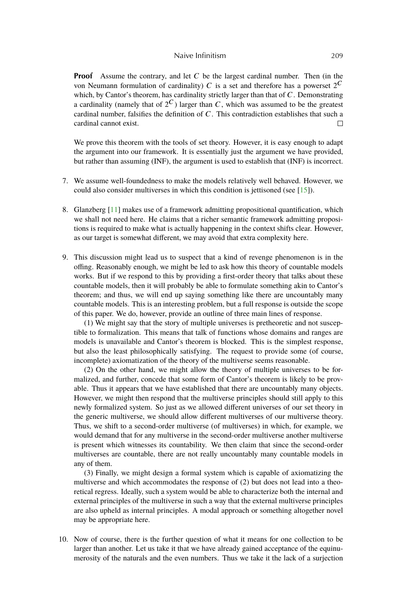<span id="page-18-0"></span>**Proof** Assume the contrary, and let C be the largest cardinal number. Then (in the von Neumann formulation of cardinality) C is a set and therefore has a powerset  $2^C$ which, by Cantor's theorem, has cardinality strictly larger than that of  $C$ . Demonstrating a cardinality (namely that of  $2^C$ ) larger than C, which was assumed to be the greatest cardinal number, falsifies the definition of  $C$ . This contradiction establishes that such a cardinal cannot exist.  $\Box$ 

We prove this theorem with the tools of set theory. However, it is easy enough to adapt the argument into our framework. It is essentially just the argument we have provided, but rather than assuming (INF), the argument is used to establish that (INF) is incorrect.

- 7. We assume well-foundedness to make the models relatively well behaved. However, we could also consider multiverses in which this condition is jettisoned (see [\[15\]](#page-19-0)).
- 8. Glanzberg [\[11\]](#page-19-0) makes use of a framework admitting propositional quantification, which we shall not need here. He claims that a richer semantic framework admitting propositions is required to make what is actually happening in the context shifts clear. However, as our target is somewhat different, we may avoid that extra complexity here.
- 9. This discussion might lead us to suspect that a kind of revenge phenomenon is in the offing. Reasonably enough, we might be led to ask how this theory of countable models works. But if we respond to this by providing a first-order theory that talks about these countable models, then it will probably be able to formulate something akin to Cantor's theorem; and thus, we will end up saying something like there are uncountably many countable models. This is an interesting problem, but a full response is outside the scope of this paper. We do, however, provide an outline of three main lines of response.

(1) We might say that the story of multiple universes is pretheoretic and not susceptible to formalization. This means that talk of functions whose domains and ranges are models is unavailable and Cantor's theorem is blocked. This is the simplest response, but also the least philosophically satisfying. The request to provide some (of course, incomplete) axiomatization of the theory of the multiverse seems reasonable.

(2) On the other hand, we might allow the theory of multiple universes to be formalized, and further, concede that some form of Cantor's theorem is likely to be provable. Thus it appears that we have established that there are uncountably many objects. However, we might then respond that the multiverse principles should still apply to this newly formalized system. So just as we allowed different universes of our set theory in the generic multiverse, we should allow different multiverses of our multiverse theory. Thus, we shift to a second-order multiverse (of multiverses) in which, for example, we would demand that for any multiverse in the second-order multiverse another multiverse is present which witnesses its countability. We then claim that since the second-order multiverses are countable, there are not really uncountably many countable models in any of them.

(3) Finally, we might design a formal system which is capable of axiomatizing the multiverse and which accommodates the response of (2) but does not lead into a theoretical regress. Ideally, such a system would be able to characterize both the internal and external principles of the multiverse in such a way that the external multiverse principles are also upheld as internal principles. A modal approach or something altogether novel may be appropriate here.

10. Now of course, there is the further question of what it means for one collection to be larger than another. Let us take it that we have already gained acceptance of the equinumerosity of the naturals and the even numbers. Thus we take it the lack of a surjection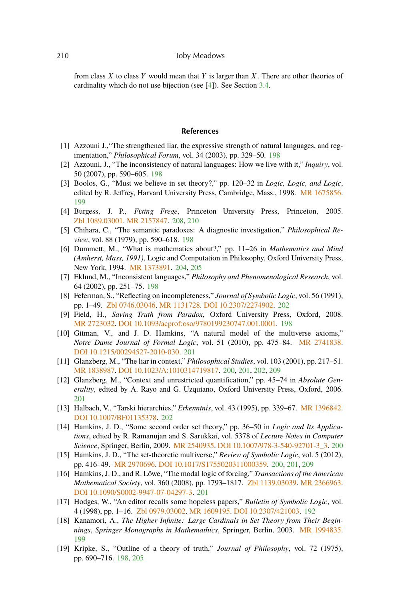<span id="page-19-0"></span>from class  $X$  to class  $Y$  would mean that  $Y$  is larger than  $X$ . There are other theories of cardinality which do not use bijection (see [4]). See Section [3.4.](#page-16-0)

# **References**

- [1] Azzouni J.,"The strengthened liar, the expressive strength of natural languages, and regimentation," *Philosophical Forum*, vol. 34 (2003), pp. 329–50. [198](#page-7-0)
- [2] Azzouni, J., "The inconsistency of natural languages: How we live with it," *Inquiry*, vol. 50 (2007), pp. 590–605. [198](#page-7-0)
- [3] Boolos, G., "Must we believe in set theory?," pp. 120–32 in *Logic, Logic, and Logic*, edited by R. Jeffrey, Harvard University Press, Cambridge, Mass., 1998. [MR 1675856.](http://www.ams.org/mathscinet-getitem?mr=1675856) [199](#page-8-0)
- [4] Burgess, J. P., *Fixing Frege*, Princeton University Press, Princeton, 2005. [Zbl 1089.03001.](http://www.emis.de/cgi-bin/MATH-item?1089.03001) [MR 2157847.](http://www.ams.org/mathscinet-getitem?mr=2157847) [208,](#page-17-0) 210
- [5] Chihara, C., "The semantic paradoxes: A diagnostic investigation," *Philosophical Review*, vol. 88 (1979), pp. 590–618. [198](#page-7-0)
- [6] Dummett, M., "What is mathematics about?," pp. 11–26 in *Mathematics and Mind (Amherst, Mass, 1991)*, Logic and Computation in Philosophy, Oxford University Press, New York, 1994. [MR 1373891.](http://www.ams.org/mathscinet-getitem?mr=1373891) [204,](#page-13-0) [205](#page-14-0)
- [7] Eklund, M., "Inconsistent languages," *Philosophy and Phenomenological Research*, vol. 64 (2002), pp. 251–75. [198](#page-7-0)
- [8] Feferman, S., "Reflecting on incompleteness," *Journal of Symbolic Logic*, vol. 56 (1991), pp. 1–49. [Zbl 0746.03046.](http://www.emis.de/cgi-bin/MATH-item?0746.03046) [MR 1131728.](http://www.ams.org/mathscinet-getitem?mr=1131728) [DOI 10.2307/2274902.](http://dx.doi.org/10.2307/2274902) [202](#page-11-0)
- [9] Field, H., *Saving Truth from Paradox*, Oxford University Press, Oxford, 2008. [MR 2723032.](http://www.ams.org/mathscinet-getitem?mr=2723032) [DOI 10.1093/acprof:oso/9780199230747.001.0001.](http://dx.doi.org/10.1093/acprof:oso/9780199230747.001.0001) [198](#page-7-0)
- [10] Gitman, V., and J. D. Hamkins, "A natural model of the multiverse axioms," *Notre Dame Journal of Formal Logic*, vol. 51 (2010), pp. 475–84. [MR 2741838.](http://www.ams.org/mathscinet-getitem?mr=2741838) [DOI 10.1215/00294527-2010-030.](http://dx.doi.org/10.1215/00294527-2010-030) [201](#page-10-0)
- [11] Glanzberg, M., "The liar in context," *Philosophical Studies*, vol. 103 (2001), pp. 217–51. [MR 1838987.](http://www.ams.org/mathscinet-getitem?mr=1838987) [DOI 10.1023/A:1010314719817.](http://dx.doi.org/10.1023/A:1010314719817) [200,](#page-9-0) [201,](#page-10-0) [202,](#page-11-0) [209](#page-18-0)
- [12] Glanzberg, M., "Context and unrestricted quantification," pp. 45–74 in *Absolute Generality*, edited by A. Rayo and G. Uzquiano, Oxford University Press, Oxford, 2006. [201](#page-10-0)
- [13] Halbach, V., "Tarski hierarchies," *Erkenntnis*, vol. 43 (1995), pp. 339–67. [MR 1396842.](http://www.ams.org/mathscinet-getitem?mr=1396842) [DOI 10.1007/BF01135378.](http://dx.doi.org/10.1007/BF01135378) [202](#page-11-0)
- [14] Hamkins, J. D., "Some second order set theory," pp. 36–50 in *Logic and Its Applications*, edited by R. Ramanujan and S. Sarukkai, vol. 5378 of *Lecture Notes in Computer Science*, Springer, Berlin, 2009. [MR 2540935.](http://www.ams.org/mathscinet-getitem?mr=2540935) [DOI 10.1007/978-3-540-92701-3\\_3.](http://dx.doi.org/10.1007/978-3-540-92701-3_3) [200](#page-9-0)
- [15] Hamkins, J. D., "The set-theoretic multiverse," *Review of Symbolic Logic*, vol. 5 (2012), pp. 416–49. [MR 2970696.](http://www.ams.org/mathscinet-getitem?mr=2970696) [DOI 10.1017/S1755020311000359.](http://dx.doi.org/10.1017/S1755020311000359) [200,](#page-9-0) [201,](#page-10-0) [209](#page-18-0)
- [16] Hamkins, J. D., and R. Löwe, "The modal logic of forcing," *Transactions of the American Mathematical Society*, vol. 360 (2008), pp. 1793–1817. [Zbl 1139.03039.](http://www.emis.de/cgi-bin/MATH-item?1139.03039) [MR 2366963.](http://www.ams.org/mathscinet-getitem?mr=2366963) [DOI 10.1090/S0002-9947-07-04297-3.](http://dx.doi.org/10.1090/S0002-9947-07-04297-3) [201](#page-10-0)
- [17] Hodges, W., "An editor recalls some hopeless papers," *Bulletin of Symbolic Logic*, vol. 4 (1998), pp. 1–16. [Zbl 0979.03002.](http://www.emis.de/cgi-bin/MATH-item?0979.03002) [MR 1609195.](http://www.ams.org/mathscinet-getitem?mr=1609195) [DOI 10.2307/421003.](http://dx.doi.org/10.2307/421003) [192](#page-1-0)
- [18] Kanamori, A., *The Higher Infinite: Large Cardinals in Set Theory from Their Beginnings*, *Springer Monographs in Mathemathics*, Springer, Berlin, 2003. [MR 1994835.](http://www.ams.org/mathscinet-getitem?mr=1994835) [199](#page-8-0)
- [19] Kripke, S., "Outline of a theory of truth," *Journal of Philosophy*, vol. 72 (1975), pp. 690–716. [198,](#page-7-0) [205](#page-14-0)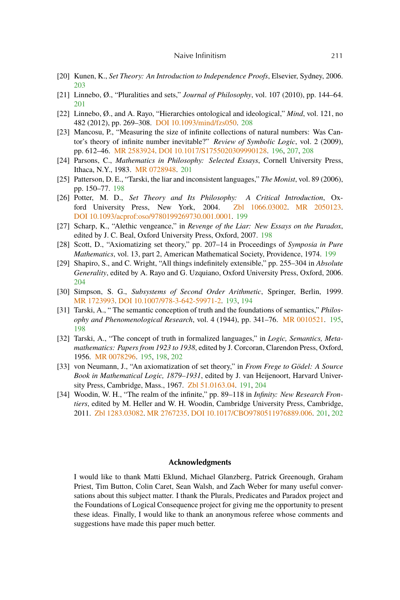- <span id="page-20-0"></span>[20] Kunen, K., *Set Theory: An Introduction to Independence Proofs*, Elsevier, Sydney, 2006. [203](#page-12-0)
- [21] Linnebo, Ø., "Pluralities and sets," *Journal of Philosophy*, vol. 107 (2010), pp. 144–64. [201](#page-10-0)
- [22] Linnebo, Ø., and A. Rayo, "Hierarchies ontological and ideological," *Mind*, vol. 121, no 482 (2012), pp. 269–308. [DOI 10.1093/mind/fzs050.](http://dx.doi.org/10.1093/mind/fzs050) [208](#page-17-0)
- [23] Mancosu, P., "Measuring the size of infinite collections of natural numbers: Was Cantor's theory of infinite number inevitable?" *Review of Symbolic Logic*, vol. 2 (2009), pp. 612–46. [MR 2583924.](http://www.ams.org/mathscinet-getitem?mr=2583924) [DOI 10.1017/S1755020309990128.](http://dx.doi.org/10.1017/S1755020309990128) [196,](#page-5-0) [207,](#page-16-0) [208](#page-17-0)
- [24] Parsons, C., *Mathematics in Philosophy: Selected Essays*, Cornell University Press, Ithaca, N.Y., 1983. [MR 0728948.](http://www.ams.org/mathscinet-getitem?mr=0728948) [201](#page-10-0)
- [25] Patterson, D. E., "Tarski, the liar and inconsistent languages," *The Monist*, vol. 89 (2006), pp. 150–77. [198](#page-7-0)
- [26] Potter, M. D., *Set Theory and Its Philosophy: A Critical Introduction*, Oxford University Press, New York, 2004. [Zbl 1066.03002.](http://www.emis.de/cgi-bin/MATH-item?1066.03002) [MR 2050123.](http://www.ams.org/mathscinet-getitem?mr=2050123) [DOI 10.1093/acprof:oso/9780199269730.001.0001.](http://dx.doi.org/10.1093/acprof:oso/9780199269730.001.0001) [199](#page-8-0)
- [27] Scharp, K., "Alethic vengeance," in *Revenge of the Liar: New Essays on the Paradox*, edited by J. C. Beal, Oxford University Press, Oxford, 2007. [198](#page-7-0)
- [28] Scott, D., "Axiomatizing set theory," pp. 207–14 in Proceedings of *Symposia in Pure Mathematics*, vol. 13, part 2, American Mathematical Society, Providence, 1974. [199](#page-8-0)
- [29] Shapiro, S., and C. Wright, "All things indefinitely extensible," pp. 255–304 in *Absolute Generality*, edited by A. Rayo and G. Uzquiano, Oxford University Press, Oxford, 2006. [204](#page-13-0)
- [30] Simpson, S. G., *Subsystems of Second Order Arithmetic*, Springer, Berlin, 1999. [MR 1723993.](http://www.ams.org/mathscinet-getitem?mr=1723993) [DOI 10.1007/978-3-642-59971-2.](http://dx.doi.org/10.1007/978-3-642-59971-2) [193,](#page-2-0) [194](#page-3-0)
- [31] Tarski, A., " The semantic conception of truth and the foundations of semantics," *Philosophy and Phenomenological Research*, vol. 4 (1944), pp. 341–76. [MR 0010521.](http://www.ams.org/mathscinet-getitem?mr=0010521) [195,](#page-4-0) [198](#page-7-0)
- [32] Tarski, A., "The concept of truth in formalized languages," in *Logic, Semantics, Metamathematics: Papers from 1923 to 1938*, edited by J. Corcoran, Clarendon Press, Oxford, 1956. [MR 0078296.](http://www.ams.org/mathscinet-getitem?mr=0078296) [195,](#page-4-0) [198,](#page-7-0) [202](#page-11-0)
- [33] von Neumann, J., "An axiomatization of set theory," in *From Frege to Gödel: A Source Book in Mathematical Logic, 1879–1931*, edited by J. van Heijenoort, Harvard University Press, Cambridge, Mass., 1967. [Zbl 51.0163.04.](http://www.emis.de/cgi-bin/MATH-item?51.0163.04) [191,](#page-0-0) [204](#page-13-0)
- [34] Woodin, W. H., "The realm of the infinite," pp. 89–118 in *Infinity: New Research Frontiers*, edited by M. Heller and W. H. Woodin, Cambridge University Press, Cambridge, 2011. [Zbl 1283.03082.](http://www.emis.de/cgi-bin/MATH-item?1283.03082) [MR 2767235.](http://www.ams.org/mathscinet-getitem?mr=2767235) [DOI 10.1017/CBO9780511976889.006.](http://dx.doi.org/10.1017/CBO9780511976889.006) [201,](#page-10-0) [202](#page-11-0)

#### **Acknowledgments**

I would like to thank Matti Eklund, Michael Glanzberg, Patrick Greenough, Graham Priest, Tim Button, Colin Caret, Sean Walsh, and Zach Weber for many useful conversations about this subject matter. I thank the Plurals, Predicates and Paradox project and the Foundations of Logical Consequence project for giving me the opportunity to present these ideas. Finally, I would like to thank an anonymous referee whose comments and suggestions have made this paper much better.